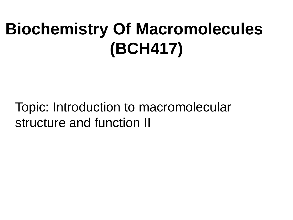# **Biochemistry Of Macromolecules (BCH417)**

Topic: Introduction to macromolecular structure and function II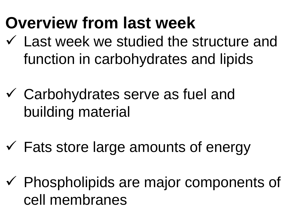### **Overview from last week**

- $\checkmark$  Last week we studied the structure and function in carbohydrates and lipids
- Carbohydrates serve as fuel and building material
- $\checkmark$  Fats store large amounts of energy
- $\checkmark$  Phospholipids are major components of cell membranes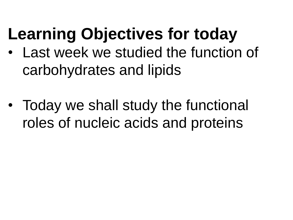# **Learning Objectives for today**

- Last week we studied the function of carbohydrates and lipids
- Today we shall study the functional roles of nucleic acids and proteins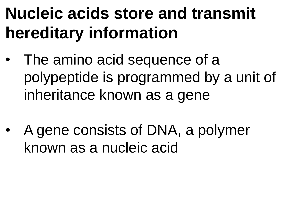# **Nucleic acids store and transmit hereditary information**

- The amino acid sequence of a polypeptide is programmed by a unit of inheritance known as a gene
- A gene consists of DNA, a polymer known as a nucleic acid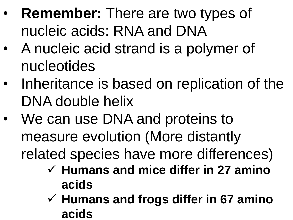- **Remember:** There are two types of nucleic acids: RNA and DNA
- A nucleic acid strand is a polymer of nucleotides
- Inheritance is based on replication of the DNA double helix
- We can use DNA and proteins to measure evolution (More distantly related species have more differences)
	- **Humans and mice differ in 27 amino acids**
	- **Humans and frogs differ in 67 amino acids**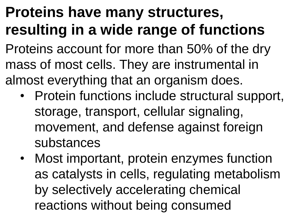#### **Proteins have many structures, resulting in a wide range of functions**

Proteins account for more than 50% of the dry mass of most cells. They are instrumental in almost everything that an organism does.

- Protein functions include structural support, storage, transport, cellular signaling, movement, and defense against foreign substances
- Most important, protein enzymes function as catalysts in cells, regulating metabolism by selectively accelerating chemical reactions without being consumed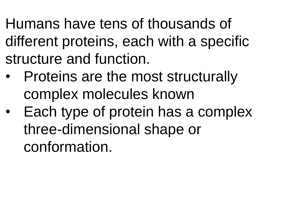Humans have tens of thousands of different proteins, each with a specific structure and function.

- Proteins are the most structurally complex molecules known
- Each type of protein has a complex three-dimensional shape or conformation.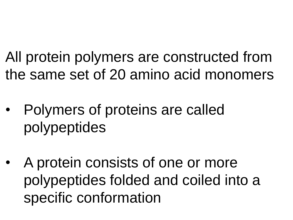All protein polymers are constructed from the same set of 20 amino acid monomers

- Polymers of proteins are called polypeptides
- A protein consists of one or more polypeptides folded and coiled into a specific conformation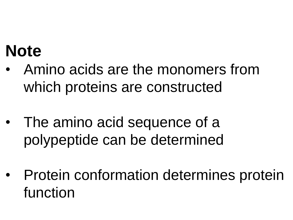#### **Note**

- Amino acids are the monomers from which proteins are constructed
- The amino acid sequence of a polypeptide can be determined
- Protein conformation determines protein function